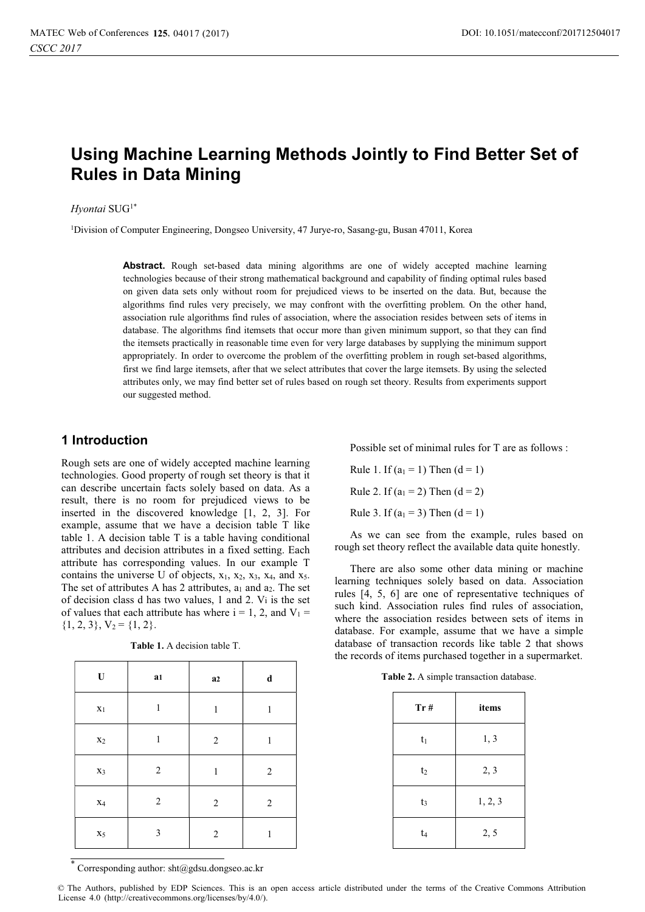# Using Machine Learning Methods Jointly to Find Better Set of Rules in Data Mining

### Hyontai SUG<sup>1\*</sup>

1Division of Computer Engineering, Dongseo University, 47 Jurye-ro, Sasang-gu, Busan 47011, Korea

Abstract. Rough set-based data mining algorithms are one of widely accepted machine learning technologies because of their strong mathematical background and capability of finding optimal rules based on given data sets only without room for prejudiced views to be inserted on the data. But, because the algorithms find rules very precisely, we may confront with the overfitting problem. On the other hand, association rule algorithms find rules of association, where the association resides between sets of items in database. The algorithms find itemsets that occur more than given minimum support, so that they can find the itemsets practically in reasonable time even for very large databases by supplying the minimum support appropriately. In order to overcome the problem of the overfitting problem in rough set-based algorithms, first we find large itemsets, after that we select attributes that cover the large itemsets. By using the selected attributes only, we may find better set of rules based on rough set theory. Results from experiments support our suggested method.

## 1 Introduction

Rough sets are one of widely accepted machine learning technologies. Good property of rough set theory is that it can describe uncertain facts solely based on data. As a result, there is no room for prejudiced views to be inserted in the discovered knowledge [1, 2, 3]. For example, assume that we have a decision table T like table 1. A decision table T is a table having conditional attributes and decision attributes in a fixed setting. Each attribute has corresponding values. In our example T contains the universe U of objects,  $x_1$ ,  $x_2$ ,  $x_3$ ,  $x_4$ , and  $x_5$ . The set of attributes A has 2 attributes,  $a_1$  and  $a_2$ . The set of decision class d has two values, 1 and 2. Vi is the set of values that each attribute has where  $i = 1, 2$ , and  $V_1 =$  $\{1, 2, 3\}, V_2 = \{1, 2\}.$ 

| $\mathbf U$    | a <sub>1</sub> | a2             | $\mathbf d$    |
|----------------|----------------|----------------|----------------|
| $x_1$          | 1              | $\mathbf{1}$   | 1              |
| $x_2$          | 1              | $\overline{2}$ | $\mathbf{1}$   |
| X3             | $\overline{2}$ | $\mathbf{1}$   | $\overline{c}$ |
| $\mathbf{X}_4$ | $\overline{c}$ | $\overline{c}$ | $\overline{2}$ |
| $X_5$          | 3              | 2              | 1              |

Table 1. A decision table T.

Possible set of minimal rules for T are as follows :

Rule 1. If  $(a_1 = 1)$  Then  $(d = 1)$ Rule 2. If  $(a_1 = 2)$  Then  $(d = 2)$ Rule 3. If  $(a_1 = 3)$  Then  $(d = 1)$ 

As we can see from the example, rules based on rough set theory reflect the available data quite honestly.

There are also some other data mining or machine learning techniques solely based on data. Association rules [4, 5, 6] are one of representative techniques of such kind. Association rules find rules of association, where the association resides between sets of items in database. For example, assume that we have a simple database of transaction records like table 2 that shows the records of items purchased together in a supermarket.

Table 2. A simple transaction database.

| Tr#            | items   |
|----------------|---------|
| $t_1$          | 1, 3    |
| t <sub>2</sub> | 2, 3    |
| $t_3$          | 1, 2, 3 |
| t <sub>4</sub> | 2, 5    |

\* Corresponding author: sht@gdsu.dongseo.ac.kr

© The Authors, published by EDP Sciences. This is an open access article distributed under the terms of the Creative Commons Attribution License 4.0 (http://creativecommons.org/licenses/by/4.0/).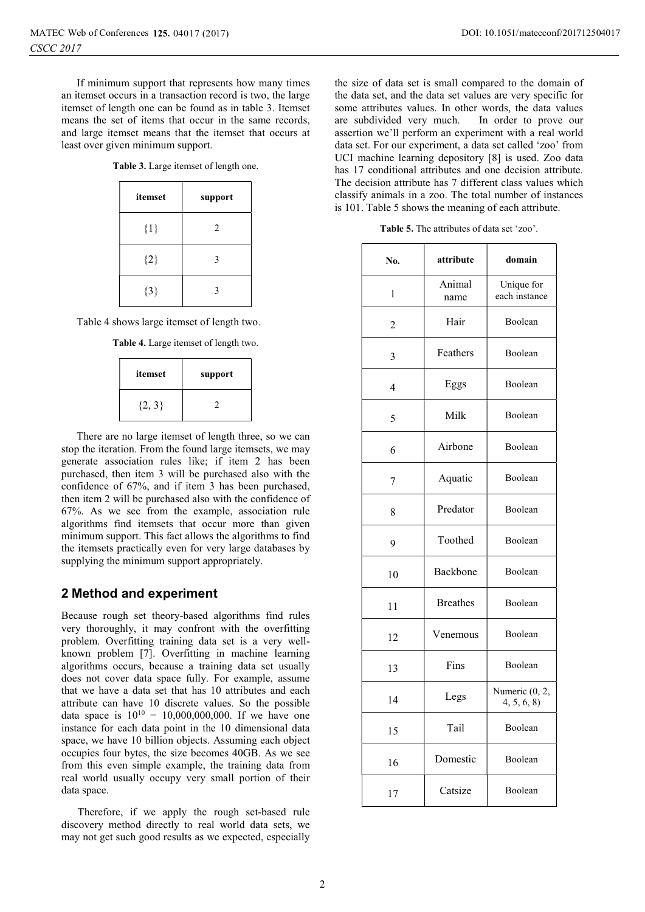If minimum support that represents how many times an itemset occurs in a transaction record is two, the large itemset of length one can be found as in table 3. Itemset means the set of items that occur in the same records, and large itemset means that the itemset that occurs at least over given minimum support.

Table 3. Large itemset of length one.

| itemset | support |
|---------|---------|
| $\{1\}$ | 2       |
| ${2}$   | 3       |
| ${3}$   | 3       |

Table 4 shows large itemset of length two.

Table 4. Large itemset of length two.

| itemset    | support |
|------------|---------|
| $\{2, 3\}$ |         |

There are no large itemset of length three, so we can stop the iteration. From the found large itemsets, we may generate association rules like; if item 2 has been purchased, then item 3 will be purchased also with the confidence of 67%, and if item 3 has been purchased, then item 2 will be purchased also with the confidence of 67%. As we see from the example, association rule algorithms find itemsets that occur more than given minimum support. This fact allows the algorithms to find the itemsets practically even for very large databases by supplying the minimum support appropriately.

## 2 Method and experiment

Because rough set theory-based algorithms find rules very thoroughly, it may confront with the overfitting problem. Overfitting training data set is a very wellknown problem [7]. Overfitting in machine learning algorithms occurs, because a training data set usually does not cover data space fully. For example, assume that we have a data set that has 10 attributes and each attribute can have 10 discrete values. So the possible data space is  $10^{10} = 10,000,000,000$ . If we have one instance for each data point in the 10 dimensional data space, we have 10 billion objects. Assuming each object occupies four bytes, the size becomes 40GB. As we see from this even simple example, the training data from real world usually occupy very small portion of their data space.

Therefore, if we apply the rough set-based rule discovery method directly to real world data sets, we may not get such good results as we expected, especially

the size of data set is small compared to the domain of the data set, and the data set values are very specific for some attributes values. In other words, the data values are subdivided very much. In order to prove our assertion we'll perform an experiment with a real world data set. For our experiment, a data set called 'zoo' from UCI machine learning depository [8] is used. Zoo data has 17 conditional attributes and one decision attribute. The decision attribute has 7 different class values which classify animals in a zoo. The total number of instances is 101. Table 5 shows the meaning of each attribute.

Table 5. The attributes of data set 'zoo'.

| No. | attribute       | domain                       |
|-----|-----------------|------------------------------|
| 1   | Animal<br>name  | Unique for<br>each instance  |
| 2   | Hair            | Boolean                      |
| 3   | Feathers        | Boolean                      |
| 4   | Eggs            | Boolean                      |
| 5   | Milk            | Boolean                      |
| 6   | Airbone         | Boolean                      |
| 7   | Aquatic         | Boolean                      |
| 8   | Predator        | Boolean                      |
| 9   | Toothed         | Boolean                      |
| 10  | Backbone        | Boolean                      |
| 11  | <b>Breathes</b> | Boolean                      |
| 12  | Venemous        | Boolean                      |
| 13  | Fins            | Boolean                      |
| 14  | Legs            | Numeric (0, 2,<br>4, 5, 6, 8 |
| 15  | Tail            | Boolean                      |
| 16  | Domestic        | Boolean                      |
| 17  | Catsize         | Boolean                      |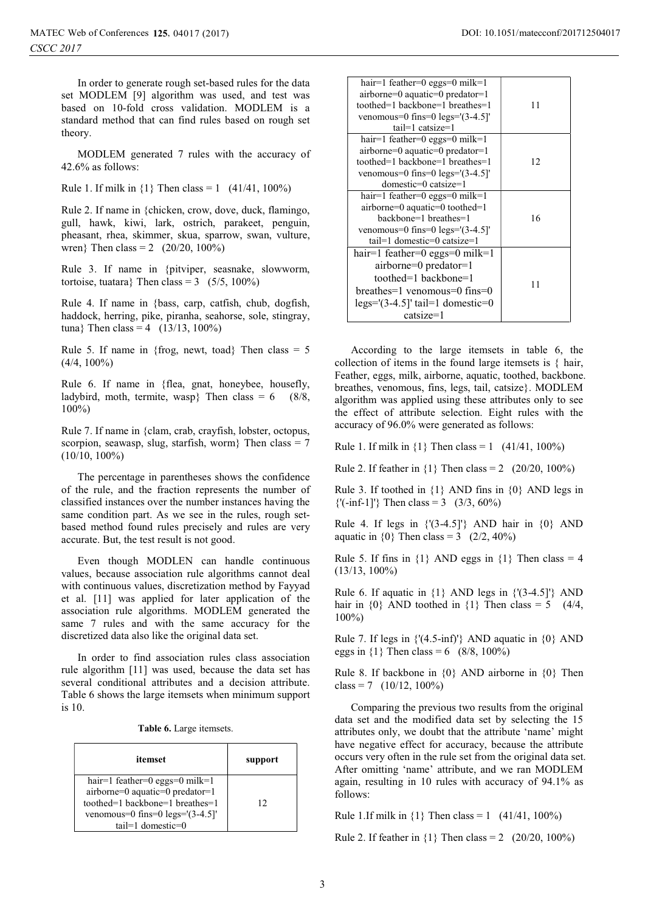In order to generate rough set-based rules for the data set MODLEM [9] algorithm was used, and test was based on 10-fold cross validation. MODLEM is a standard method that can find rules based on rough set theory.

MODLEM generated 7 rules with the accuracy of 42.6% as follows:

Rule 1. If milk in  $\{1\}$  Then class = 1 (41/41, 100%)

Rule 2. If name in {chicken, crow, dove, duck, flamingo, gull, hawk, kiwi, lark, ostrich, parakeet, penguin, pheasant, rhea, skimmer, skua, sparrow, swan, vulture, wren} Then class = 2 (20/20, 100%)

Rule 3. If name in {pitviper, seasnake, slowworm, tortoise, tuatara} Then class =  $3 \quad (5/5, 100\%)$ 

Rule 4. If name in {bass, carp, catfish, chub, dogfish, haddock, herring, pike, piranha, seahorse, sole, stingray, tuna} Then class = 4 ( $13/13$ , 100%)

Rule 5. If name in {frog, newt, toad} Then class =  $5$  $(4/4, 100\%)$ 

Rule 6. If name in {flea, gnat, honeybee, housefly, ladybird, moth, termite, wasp} Then class =  $6$  (8/8, 100%)

Rule 7. If name in {clam, crab, crayfish, lobster, octopus, scorpion, seawasp, slug, starfish, worm} Then class =  $7$ (10/10, 100%)

The percentage in parentheses shows the confidence of the rule, and the fraction represents the number of classified instances over the number instances having the same condition part. As we see in the rules, rough setbased method found rules precisely and rules are very accurate. But, the test result is not good.

Even though MODLEN can handle continuous values, because association rule algorithms cannot deal with continuous values, discretization method by Fayyad et al. [11] was applied for later application of the association rule algorithms. MODLEM generated the same 7 rules and with the same accuracy for the discretized data also like the original data set.

In order to find association rules class association rule algorithm [11] was used, because the data set has several conditional attributes and a decision attribute. Table 6 shows the large itemsets when minimum support is 10.

| itemset                                                                                                                                                         | support |
|-----------------------------------------------------------------------------------------------------------------------------------------------------------------|---------|
| hair=1 feather=0 eggs=0 milk=1<br>airborne=0 aquatic=0 predator=1<br>toothed=1 backbone=1 breathes=1<br>venomous=0 fins=0 $legs=(3-4.5)$<br>$tail=1$ domestic=0 | 12      |

| hair=1 feather=0 eggs=0 milk=1<br>$airborne=0$ aquatic=0 predator=1<br>toothed=1 backbone=1 breathes=1<br>venomous=0 fins=0 $legs=(3-4.5)$<br>$tail=1$ catsize=1         | 11 |
|--------------------------------------------------------------------------------------------------------------------------------------------------------------------------|----|
| hair=1 feather=0 eggs=0 milk=1<br>$airborne=0$ aquatic=0 predator=1<br>toothed=1 backbone=1 breathes=1<br>venomous=0 fins=0 $legs=(3-4.5)$<br>domestic=0 catsize=1       | 12 |
| hair=1 feather=0 eggs=0 milk=1<br>airborne=0 aquatic=0 toothed=1<br>backbone=1 breathes=1<br>venomous=0 fins=0 $legs=(3-4.5)$<br>$tail=1$ domestic=0 catsize=1           | 16 |
| hair=1 feather=0 eggs=0 milk=1<br>airborne=0 predator=1<br>toothed=1 backbone=1<br>$breakes=1$ venomous=0 fins=0<br>$legs=[(3-4.5]$ ' tail=1 domestic=0<br>$\ncatsize=1$ | 11 |

According to the large itemsets in table 6, the collection of items in the found large itemsets is { hair, Feather, eggs, milk, airborne, aquatic, toothed, backbone. breathes, venomous, fins, legs, tail, catsize}. MODLEM algorithm was applied using these attributes only to see the effect of attribute selection. Eight rules with the accuracy of 96.0% were generated as follows:

Rule 1. If milk in  $\{1\}$  Then class = 1 (41/41, 100%)

Rule 2. If feather in  $\{1\}$  Then class = 2 (20/20, 100%)

Rule 3. If toothed in {1} AND fins in {0} AND legs in  ${\binom{1}{3}, 60\%}$ 

Rule 4. If legs in  $\{(3-4.5]'\}$  AND hair in  $\{0\}$  AND aquatic in  $\{0\}$  Then class = 3 (2/2, 40%)

Rule 5. If fins in  $\{1\}$  AND eggs in  $\{1\}$  Then class = 4 (13/13, 100%)

Rule 6. If aquatic in  $\{1\}$  AND legs in  $\{(3-4.5]^\dagger\}$  AND hair in  $\{0\}$  AND toothed in  $\{1\}$  Then class = 5 (4/4, 100%)

Rule 7. If legs in  $\{(4.5\text{-inf})'\}\$  AND aquatic in  $\{0\}\$  AND eggs in  $\{1\}$  Then class = 6 (8/8, 100%)

Rule 8. If backbone in  $\{0\}$  AND airborne in  $\{0\}$  Then class = 7  $(10/12, 100\%)$ 

Comparing the previous two results from the original data set and the modified data set by selecting the 15 attributes only, we doubt that the attribute 'name' might have negative effect for accuracy, because the attribute occurs very often in the rule set from the original data set. After omitting 'name' attribute, and we ran MODLEM again, resulting in 10 rules with accuracy of 94.1% as follows:

Rule 1.If milk in  $\{1\}$  Then class = 1 (41/41, 100%)

Rule 2. If feather in  ${1}$  Then class = 2 (20/20, 100%)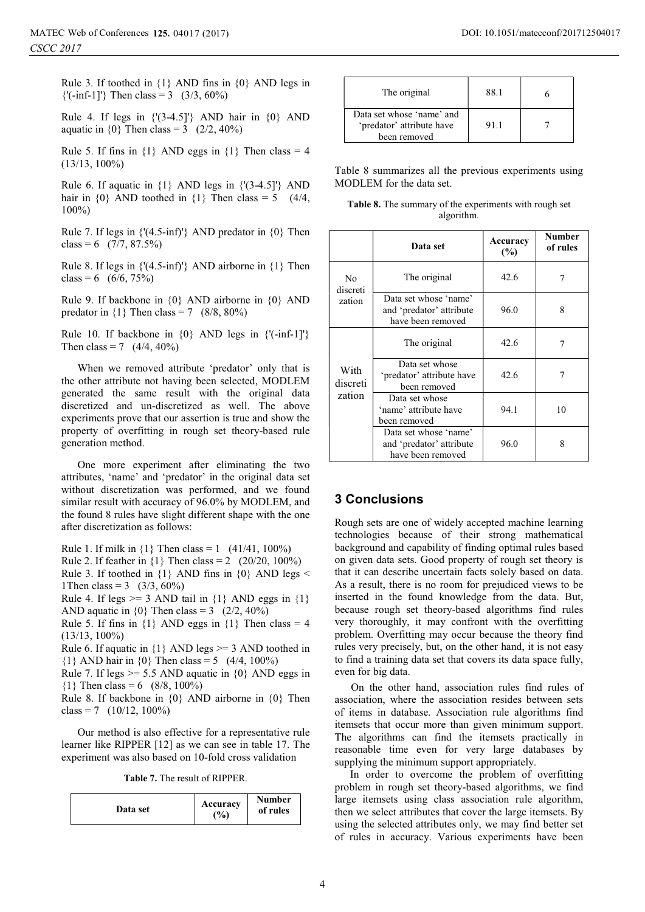Rule 3. If toothed in {1} AND fins in {0} AND legs in  ${\binom{1}{3}, 60\%}$ 

Rule 4. If legs in  $\{(3-4.5]^\dagger\}$  AND hair in  $\{0\}$  AND aquatic in  $\{0\}$  Then class = 3 (2/2, 40%)

Rule 5. If fins in  $\{1\}$  AND eggs in  $\{1\}$  Then class = 4 (13/13, 100%)

Rule 6. If aquatic in  $\{1\}$  AND legs in  $\{(3-4.5]^\prime\}$  AND hair in  $\{0\}$  AND toothed in  $\{1\}$  Then class = 5 (4/4, 100%)

Rule 7. If legs in  $\{(4.5\text{-}inf)'\}$  AND predator in  $\{0\}$  Then class = 6  $(7/7, 87.5%)$ 

Rule 8. If legs in  $\{(4.5\text{-inf})'\}$  AND airborne in  $\{1\}$  Then class = 6  $(6/6, 75%)$ 

Rule 9. If backbone in {0} AND airborne in {0} AND predator in  $\{1\}$  Then class = 7 (8/8, 80%)

Rule 10. If backbone in  $\{0\}$  AND legs in  $\{'(-inf-1]'\}$ Then class = 7  $(4/4, 40\%)$ 

When we removed attribute 'predator' only that is the other attribute not having been selected, MODLEM generated the same result with the original data discretized and un-discretized as well. The above experiments prove that our assertion is true and show the property of overfitting in rough set theory-based rule generation method.

One more experiment after eliminating the two attributes, 'name' and 'predator' in the original data set without discretization was performed, and we found similar result with accuracy of 96.0% by MODLEM, and the found 8 rules have slight different shape with the one after discretization as follows:

Rule 1. If milk in  $\{1\}$  Then class = 1 (41/41, 100%)

Rule 2. If feather in  $\{1\}$  Then class = 2 (20/20, 100%) Rule 3. If toothed in  $\{1\}$  AND fins in  $\{0\}$  AND legs <

1Then class = 3  $(3/3, 60\%)$ Rule 4. If legs  $>= 3$  AND tail in  $\{1\}$  AND eggs in  $\{1\}$ AND aquatic in  $\{0\}$  Then class = 3 (2/2, 40%)

Rule 5. If fins in  $\{1\}$  AND eggs in  $\{1\}$  Then class = 4 (13/13, 100%)

Rule 6. If aquatic in  ${1}$  AND legs  $>=$  3 AND toothed in  ${1}$  AND hair in  ${0}$  Then class = 5 (4/4, 100%)

Rule 7. If legs  $>= 5.5$  AND aquatic in  $\{0\}$  AND eggs in  ${1}$  Then class = 6 (8/8, 100%)

Rule 8. If backbone in {0} AND airborne in {0} Then class = 7  $(10/12, 100\%)$ 

Our method is also effective for a representative rule learner like RIPPER [12] as we can see in table 17. The experiment was also based on 10-fold cross validation

Table 7. The result of RIPPER.

| Data set | Accuracy<br>$\frac{9}{0}$ | <b>Number</b><br>of rules |
|----------|---------------------------|---------------------------|
|----------|---------------------------|---------------------------|

| The original                                                           | 88 1 |  |
|------------------------------------------------------------------------|------|--|
| Data set whose 'name' and<br>'predator' attribute have<br>been removed | 91.1 |  |

Table 8 summarizes all the previous experiments using MODLEM for the data set.

| Table 8. The summary of the experiments with rough set |  |
|--------------------------------------------------------|--|
| algorithm.                                             |  |

|                                      | Data set                                                               | Accuracy<br>$(\%)$ | <b>Number</b><br>of rules |
|--------------------------------------|------------------------------------------------------------------------|--------------------|---------------------------|
| N <sub>0</sub><br>discreti<br>zation | The original                                                           | 42.6               | 7                         |
|                                      | Data set whose 'name'<br>and 'predator' attribute<br>have been removed | 96.0               | 8                         |
|                                      | The original                                                           | 42.6               |                           |
| With<br>discreti<br>zation           | Data set whose<br>'predator' attribute have<br>been removed            | 42.6               |                           |
|                                      | Data set whose<br>'name' attribute have<br>been removed                | 94.1               | 10                        |
|                                      | Data set whose 'name'<br>and 'predator' attribute<br>have been removed | 96.0               | 8                         |

## 3 Conclusions

Rough sets are one of widely accepted machine learning technologies because of their strong mathematical background and capability of finding optimal rules based on given data sets. Good property of rough set theory is that it can describe uncertain facts solely based on data. As a result, there is no room for prejudiced views to be inserted in the found knowledge from the data. But, because rough set theory-based algorithms find rules very thoroughly, it may confront with the overfitting problem. Overfitting may occur because the theory find rules very precisely, but, on the other hand, it is not easy to find a training data set that covers its data space fully, even for big data.

On the other hand, association rules find rules of association, where the association resides between sets of items in database. Association rule algorithms find itemsets that occur more than given minimum support. The algorithms can find the itemsets practically in reasonable time even for very large databases by supplying the minimum support appropriately.

In order to overcome the problem of overfitting problem in rough set theory-based algorithms, we find large itemsets using class association rule algorithm, then we select attributes that cover the large itemsets. By using the selected attributes only, we may find better set of rules in accuracy. Various experiments have been